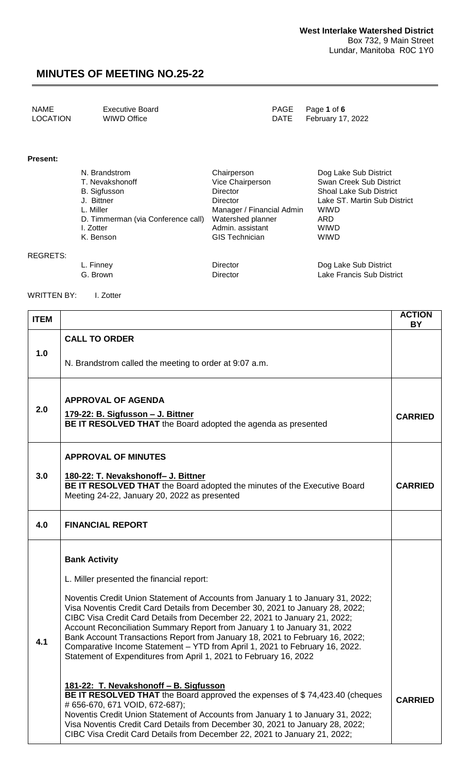| NAME            | Executive Board | PAGE Page 1 of 6       |
|-----------------|-----------------|------------------------|
| <b>LOCATION</b> | WIWD Office     | DATE February 17, 2022 |

#### **Present:**

REGRETS:

| N. Brandstrom                      | Chairperson               | Dog Lake Sub District          |
|------------------------------------|---------------------------|--------------------------------|
| T. Nevakshonoff                    | Vice Chairperson          | Swan Creek Sub District        |
| B. Sigfusson                       | Director                  | <b>Shoal Lake Sub District</b> |
| J. Bittner                         | Director                  | Lake ST. Martin Sub District   |
| L. Miller                          | Manager / Financial Admin | <b>WIWD</b>                    |
| D. Timmerman (via Conference call) | Watershed planner         | ARD                            |
| I. Zotter                          | Admin, assistant          | <b>WIWD</b>                    |
| K. Benson                          | <b>GIS</b> Technician     | <b>WIWD</b>                    |
| <sub>-</sub> . Finnev              | Director                  |                                |

G. Brown **Director** Director **COMEGA** District

WRITTEN BY: I. Zotter

| <b>ITEM</b> |                                                                                                                                                                                                                                                                                                                                                                                                                 | <b>ACTION</b><br>BY |
|-------------|-----------------------------------------------------------------------------------------------------------------------------------------------------------------------------------------------------------------------------------------------------------------------------------------------------------------------------------------------------------------------------------------------------------------|---------------------|
|             | <b>CALL TO ORDER</b>                                                                                                                                                                                                                                                                                                                                                                                            |                     |
| 1.0         | N. Brandstrom called the meeting to order at 9:07 a.m.                                                                                                                                                                                                                                                                                                                                                          |                     |
| 2.0         | <b>APPROVAL OF AGENDA</b><br>179-22: B. Sigfusson - J. Bittner<br>BE IT RESOLVED THAT the Board adopted the agenda as presented                                                                                                                                                                                                                                                                                 | <b>CARRIED</b>      |
|             | <b>APPROVAL OF MINUTES</b>                                                                                                                                                                                                                                                                                                                                                                                      |                     |
| 3.0         | 180-22: T. Nevakshonoff- J. Bittner<br>BE IT RESOLVED THAT the Board adopted the minutes of the Executive Board<br>Meeting 24-22, January 20, 2022 as presented                                                                                                                                                                                                                                                 | <b>CARRIED</b>      |
| 4.0         | <b>FINANCIAL REPORT</b>                                                                                                                                                                                                                                                                                                                                                                                         |                     |
|             | <b>Bank Activity</b><br>L. Miller presented the financial report:<br>Noventis Credit Union Statement of Accounts from January 1 to January 31, 2022;<br>Visa Noventis Credit Card Details from December 30, 2021 to January 28, 2022;                                                                                                                                                                           |                     |
| 4.1         | CIBC Visa Credit Card Details from December 22, 2021 to January 21, 2022;<br>Account Reconciliation Summary Report from January 1 to January 31, 2022<br>Bank Account Transactions Report from January 18, 2021 to February 16, 2022;<br>Comparative Income Statement - YTD from April 1, 2021 to February 16, 2022.<br>Statement of Expenditures from April 1, 2021 to February 16, 2022                       |                     |
|             | 181-22: T. Nevakshonoff - B. Sigfusson<br><b>BE IT RESOLVED THAT</b> the Board approved the expenses of \$74,423.40 (cheques<br># 656-670, 671 VOID, 672-687);<br>Noventis Credit Union Statement of Accounts from January 1 to January 31, 2022;<br>Visa Noventis Credit Card Details from December 30, 2021 to January 28, 2022;<br>CIBC Visa Credit Card Details from December 22, 2021 to January 21, 2022; | <b>CARRIED</b>      |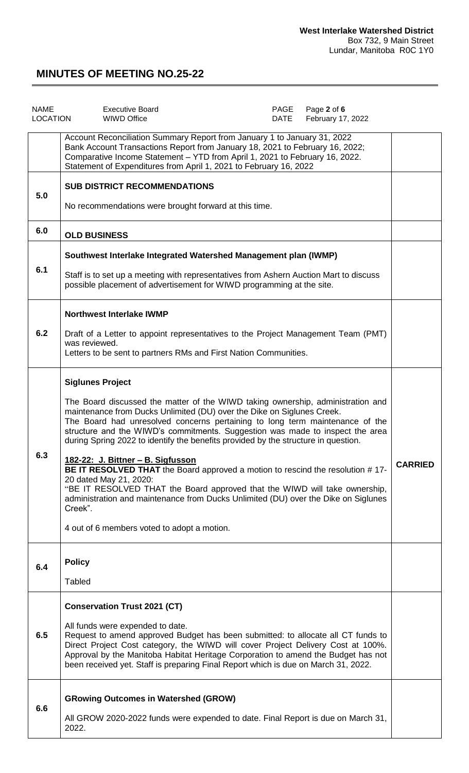| <b>NAME</b><br><b>LOCATION</b> | <b>Executive Board</b><br><b>WIWD Office</b>                                                                                                                                                                                                                                                                                                                                                                                                                                                                                                                                                                                                                                                                                                                                                                               | PAGE<br>DATE | Page 2 of 6<br>February 17, 2022 |                |
|--------------------------------|----------------------------------------------------------------------------------------------------------------------------------------------------------------------------------------------------------------------------------------------------------------------------------------------------------------------------------------------------------------------------------------------------------------------------------------------------------------------------------------------------------------------------------------------------------------------------------------------------------------------------------------------------------------------------------------------------------------------------------------------------------------------------------------------------------------------------|--------------|----------------------------------|----------------|
|                                | Account Reconciliation Summary Report from January 1 to January 31, 2022<br>Bank Account Transactions Report from January 18, 2021 to February 16, 2022;<br>Comparative Income Statement - YTD from April 1, 2021 to February 16, 2022.<br>Statement of Expenditures from April 1, 2021 to February 16, 2022                                                                                                                                                                                                                                                                                                                                                                                                                                                                                                               |              |                                  |                |
| 5.0                            | <b>SUB DISTRICT RECOMMENDATIONS</b><br>No recommendations were brought forward at this time.                                                                                                                                                                                                                                                                                                                                                                                                                                                                                                                                                                                                                                                                                                                               |              |                                  |                |
| 6.0                            | <b>OLD BUSINESS</b>                                                                                                                                                                                                                                                                                                                                                                                                                                                                                                                                                                                                                                                                                                                                                                                                        |              |                                  |                |
| 6.1                            | Southwest Interlake Integrated Watershed Management plan (IWMP)<br>Staff is to set up a meeting with representatives from Ashern Auction Mart to discuss<br>possible placement of advertisement for WIWD programming at the site.                                                                                                                                                                                                                                                                                                                                                                                                                                                                                                                                                                                          |              |                                  |                |
| 6.2                            | <b>Northwest Interlake IWMP</b><br>Draft of a Letter to appoint representatives to the Project Management Team (PMT)<br>was reviewed.<br>Letters to be sent to partners RMs and First Nation Communities.                                                                                                                                                                                                                                                                                                                                                                                                                                                                                                                                                                                                                  |              |                                  |                |
| 6.3                            | <b>Siglunes Project</b><br>The Board discussed the matter of the WIWD taking ownership, administration and<br>maintenance from Ducks Unlimited (DU) over the Dike on Siglunes Creek.<br>The Board had unresolved concerns pertaining to long term maintenance of the<br>structure and the WIWD's commitments. Suggestion was made to inspect the area<br>during Spring 2022 to identify the benefits provided by the structure in question.<br>182-22: J. Bittner - B. Sigfusson<br>BE IT RESOLVED THAT the Board approved a motion to rescind the resolution #17-<br>20 dated May 21, 2020:<br>"BE IT RESOLVED THAT the Board approved that the WIWD will take ownership,<br>administration and maintenance from Ducks Unlimited (DU) over the Dike on Siglunes<br>Creek".<br>4 out of 6 members voted to adopt a motion. |              |                                  | <b>CARRIED</b> |
| 6.4                            | <b>Policy</b><br><b>Tabled</b>                                                                                                                                                                                                                                                                                                                                                                                                                                                                                                                                                                                                                                                                                                                                                                                             |              |                                  |                |
| 6.5                            | <b>Conservation Trust 2021 (CT)</b><br>All funds were expended to date.<br>Request to amend approved Budget has been submitted: to allocate all CT funds to<br>Direct Project Cost category, the WIWD will cover Project Delivery Cost at 100%.<br>Approval by the Manitoba Habitat Heritage Corporation to amend the Budget has not<br>been received yet. Staff is preparing Final Report which is due on March 31, 2022.                                                                                                                                                                                                                                                                                                                                                                                                 |              |                                  |                |
| 6.6                            | <b>GRowing Outcomes in Watershed (GROW)</b><br>All GROW 2020-2022 funds were expended to date. Final Report is due on March 31,<br>2022.                                                                                                                                                                                                                                                                                                                                                                                                                                                                                                                                                                                                                                                                                   |              |                                  |                |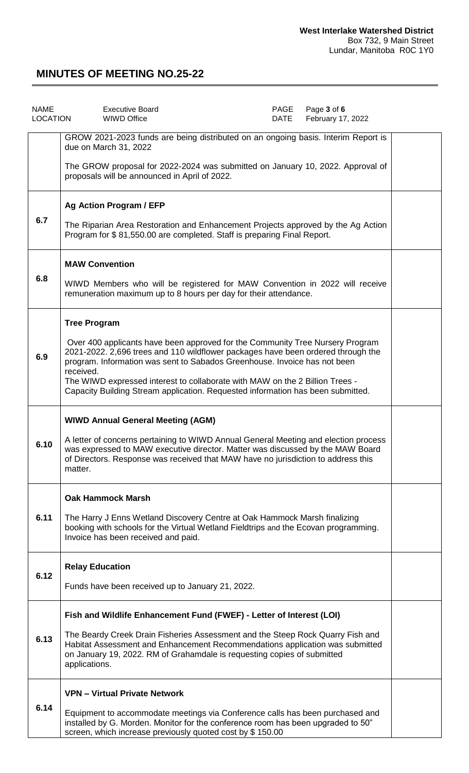| <b>NAME</b><br>LOCATION | <b>Executive Board</b><br><b>WIWD Office</b>                                                                                                                                                                                                                                                                                                                                                                                   | PAGE<br>DATE | Page 3 of 6<br>February 17, 2022 |  |
|-------------------------|--------------------------------------------------------------------------------------------------------------------------------------------------------------------------------------------------------------------------------------------------------------------------------------------------------------------------------------------------------------------------------------------------------------------------------|--------------|----------------------------------|--|
|                         | GROW 2021-2023 funds are being distributed on an ongoing basis. Interim Report is<br>due on March 31, 2022                                                                                                                                                                                                                                                                                                                     |              |                                  |  |
|                         | The GROW proposal for 2022-2024 was submitted on January 10, 2022. Approval of<br>proposals will be announced in April of 2022.                                                                                                                                                                                                                                                                                                |              |                                  |  |
|                         | <b>Ag Action Program / EFP</b>                                                                                                                                                                                                                                                                                                                                                                                                 |              |                                  |  |
| 6.7                     | The Riparian Area Restoration and Enhancement Projects approved by the Ag Action<br>Program for \$81,550.00 are completed. Staff is preparing Final Report.                                                                                                                                                                                                                                                                    |              |                                  |  |
|                         | <b>MAW Convention</b>                                                                                                                                                                                                                                                                                                                                                                                                          |              |                                  |  |
| 6.8                     | WIWD Members who will be registered for MAW Convention in 2022 will receive<br>remuneration maximum up to 8 hours per day for their attendance.                                                                                                                                                                                                                                                                                |              |                                  |  |
|                         | <b>Tree Program</b>                                                                                                                                                                                                                                                                                                                                                                                                            |              |                                  |  |
| 6.9                     | Over 400 applicants have been approved for the Community Tree Nursery Program<br>2021-2022. 2,696 trees and 110 wildflower packages have been ordered through the<br>program. Information was sent to Sabados Greenhouse. Invoice has not been<br>received.<br>The WIWD expressed interest to collaborate with MAW on the 2 Billion Trees -<br>Capacity Building Stream application. Requested information has been submitted. |              |                                  |  |
|                         | <b>WIWD Annual General Meeting (AGM)</b>                                                                                                                                                                                                                                                                                                                                                                                       |              |                                  |  |
| 6.10                    | A letter of concerns pertaining to WIWD Annual General Meeting and election process<br>was expressed to MAW executive director. Matter was discussed by the MAW Board<br>of Directors. Response was received that MAW have no jurisdiction to address this<br>matter.                                                                                                                                                          |              |                                  |  |
|                         | <b>Oak Hammock Marsh</b>                                                                                                                                                                                                                                                                                                                                                                                                       |              |                                  |  |
| 6.11                    | The Harry J Enns Wetland Discovery Centre at Oak Hammock Marsh finalizing<br>booking with schools for the Virtual Wetland Fieldtrips and the Ecovan programming.<br>Invoice has been received and paid.                                                                                                                                                                                                                        |              |                                  |  |
| 6.12                    | <b>Relay Education</b>                                                                                                                                                                                                                                                                                                                                                                                                         |              |                                  |  |
|                         | Funds have been received up to January 21, 2022.                                                                                                                                                                                                                                                                                                                                                                               |              |                                  |  |
|                         | Fish and Wildlife Enhancement Fund (FWEF) - Letter of Interest (LOI)                                                                                                                                                                                                                                                                                                                                                           |              |                                  |  |
| 6.13                    | The Beardy Creek Drain Fisheries Assessment and the Steep Rock Quarry Fish and<br>Habitat Assessment and Enhancement Recommendations application was submitted<br>on January 19, 2022. RM of Grahamdale is requesting copies of submitted<br>applications.                                                                                                                                                                     |              |                                  |  |
|                         | <b>VPN - Virtual Private Network</b>                                                                                                                                                                                                                                                                                                                                                                                           |              |                                  |  |
| 6.14                    | Equipment to accommodate meetings via Conference calls has been purchased and<br>installed by G. Morden. Monitor for the conference room has been upgraded to 50"<br>screen, which increase previously quoted cost by \$ 150.00                                                                                                                                                                                                |              |                                  |  |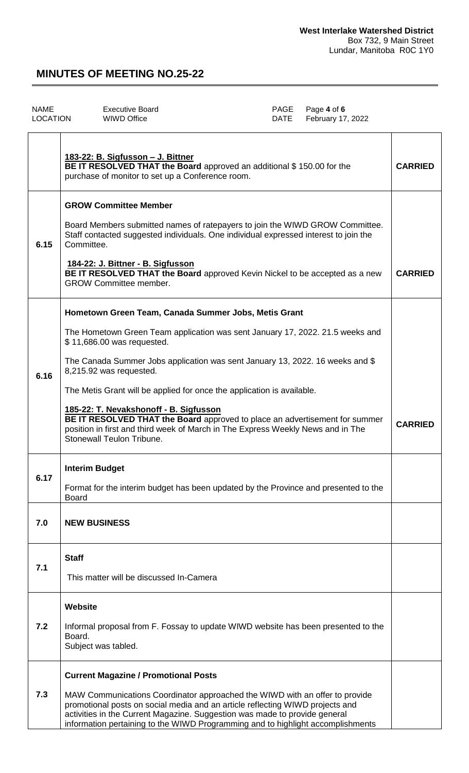| NAME     | Executive Board | PAGE Page 4 of 6       |
|----------|-----------------|------------------------|
| LOCATION | WIWD Office     | DATE February 17, 2022 |

|      | 183-22: B. Sigfusson - J. Bittner<br>BE IT RESOLVED THAT the Board approved an additional \$150.00 for the<br>purchase of monitor to set up a Conference room.                                                                                                                                                                                                                                                              | <b>CARRIED</b> |
|------|-----------------------------------------------------------------------------------------------------------------------------------------------------------------------------------------------------------------------------------------------------------------------------------------------------------------------------------------------------------------------------------------------------------------------------|----------------|
| 6.15 | <b>GROW Committee Member</b><br>Board Members submitted names of ratepayers to join the WIWD GROW Committee.<br>Staff contacted suggested individuals. One individual expressed interest to join the<br>Committee.<br>184-22: J. Bittner - B. Sigfusson<br>BE IT RESOLVED THAT the Board approved Kevin Nickel to be accepted as a new<br><b>GROW Committee member.</b>                                                     | <b>CARRIED</b> |
|      | Hometown Green Team, Canada Summer Jobs, Metis Grant<br>The Hometown Green Team application was sent January 17, 2022. 21.5 weeks and<br>\$11,686.00 was requested.                                                                                                                                                                                                                                                         |                |
| 6.16 | The Canada Summer Jobs application was sent January 13, 2022. 16 weeks and \$<br>8,215.92 was requested.<br>The Metis Grant will be applied for once the application is available.<br>185-22: T. Nevakshonoff - B. Sigfusson<br>BE IT RESOLVED THAT the Board approved to place an advertisement for summer<br>position in first and third week of March in The Express Weekly News and in The<br>Stonewall Teulon Tribune. | <b>CARRIED</b> |
| 6.17 | <b>Interim Budget</b><br>Format for the interim budget has been updated by the Province and presented to the<br><b>Board</b>                                                                                                                                                                                                                                                                                                |                |
| 7.0  | <b>NEW BUSINESS</b>                                                                                                                                                                                                                                                                                                                                                                                                         |                |
| 7.1  | <b>Staff</b><br>This matter will be discussed In-Camera                                                                                                                                                                                                                                                                                                                                                                     |                |
| 7.2  | Website<br>Informal proposal from F. Fossay to update WIWD website has been presented to the<br>Board.<br>Subject was tabled.                                                                                                                                                                                                                                                                                               |                |
| 7.3  | <b>Current Magazine / Promotional Posts</b><br>MAW Communications Coordinator approached the WIWD with an offer to provide<br>promotional posts on social media and an article reflecting WIWD projects and<br>activities in the Current Magazine. Suggestion was made to provide general<br>information pertaining to the WIWD Programming and to highlight accomplishments                                                |                |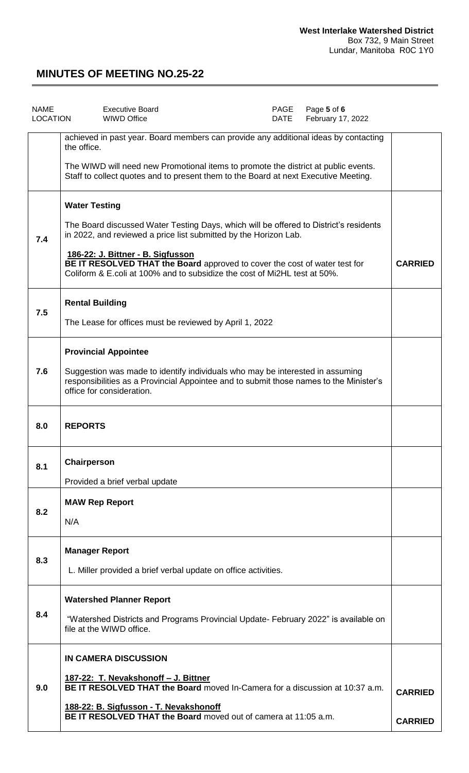| <b>NAME</b><br>LOCATION | Page 5 of 6<br><b>Executive Board</b><br>PAGE<br><b>WIWD Office</b><br>DATE<br>February 17, 2022                                                                                                                                                                                                                                                                                  |                                  |
|-------------------------|-----------------------------------------------------------------------------------------------------------------------------------------------------------------------------------------------------------------------------------------------------------------------------------------------------------------------------------------------------------------------------------|----------------------------------|
|                         | achieved in past year. Board members can provide any additional ideas by contacting<br>the office.<br>The WIWD will need new Promotional items to promote the district at public events.<br>Staff to collect quotes and to present them to the Board at next Executive Meeting.                                                                                                   |                                  |
| 7.4                     | <b>Water Testing</b><br>The Board discussed Water Testing Days, which will be offered to District's residents<br>in 2022, and reviewed a price list submitted by the Horizon Lab.<br>186-22: J. Bittner - B. Sigfusson<br>BE IT RESOLVED THAT the Board approved to cover the cost of water test for<br>Coliform & E.coli at 100% and to subsidize the cost of Mi2HL test at 50%. | <b>CARRIED</b>                   |
| 7.5                     | <b>Rental Building</b><br>The Lease for offices must be reviewed by April 1, 2022                                                                                                                                                                                                                                                                                                 |                                  |
| 7.6                     | <b>Provincial Appointee</b><br>Suggestion was made to identify individuals who may be interested in assuming<br>responsibilities as a Provincial Appointee and to submit those names to the Minister's<br>office for consideration.                                                                                                                                               |                                  |
| 8.0                     | <b>REPORTS</b>                                                                                                                                                                                                                                                                                                                                                                    |                                  |
| 8.1                     | Chairperson<br>Provided a brief verbal update                                                                                                                                                                                                                                                                                                                                     |                                  |
| 8.2                     | <b>MAW Rep Report</b><br>N/A                                                                                                                                                                                                                                                                                                                                                      |                                  |
| 8.3                     | <b>Manager Report</b><br>L. Miller provided a brief verbal update on office activities.                                                                                                                                                                                                                                                                                           |                                  |
| 8.4                     | <b>Watershed Planner Report</b><br>"Watershed Districts and Programs Provincial Update- February 2022" is available on<br>file at the WIWD office.                                                                                                                                                                                                                                |                                  |
| 9.0                     | IN CAMERA DISCUSSION<br>187-22: T. Nevakshonoff - J. Bittner<br>BE IT RESOLVED THAT the Board moved In-Camera for a discussion at 10:37 a.m.<br>188-22: B. Sigfusson - T. Nevakshonoff<br>BE IT RESOLVED THAT the Board moved out of camera at 11:05 a.m.                                                                                                                         | <b>CARRIED</b><br><b>CARRIED</b> |